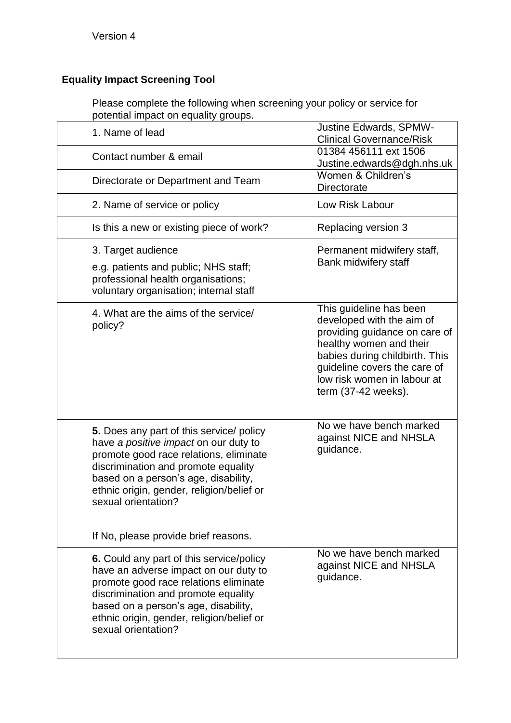## **Equality Impact Screening Tool**

Please complete the following when screening your policy or service for potential impact on equality groups.

| 1. Name of lead                                                                                                                                                                                                                                                                                                        | <b>Justine Edwards, SPMW-</b><br><b>Clinical Governance/Risk</b>                                                                                                                                                                         |
|------------------------------------------------------------------------------------------------------------------------------------------------------------------------------------------------------------------------------------------------------------------------------------------------------------------------|------------------------------------------------------------------------------------------------------------------------------------------------------------------------------------------------------------------------------------------|
| Contact number & email                                                                                                                                                                                                                                                                                                 | 01384 456111 ext 1506<br>Justine.edwards@dgh.nhs.uk                                                                                                                                                                                      |
| Directorate or Department and Team                                                                                                                                                                                                                                                                                     | Women & Children's<br>Directorate                                                                                                                                                                                                        |
| 2. Name of service or policy                                                                                                                                                                                                                                                                                           | Low Risk Labour                                                                                                                                                                                                                          |
| Is this a new or existing piece of work?                                                                                                                                                                                                                                                                               | Replacing version 3                                                                                                                                                                                                                      |
| 3. Target audience<br>e.g. patients and public; NHS staff;<br>professional health organisations;<br>voluntary organisation; internal staff                                                                                                                                                                             | Permanent midwifery staff,<br>Bank midwifery staff                                                                                                                                                                                       |
| 4. What are the aims of the service/<br>policy?                                                                                                                                                                                                                                                                        | This guideline has been<br>developed with the aim of<br>providing guidance on care of<br>healthy women and their<br>babies during childbirth. This<br>guideline covers the care of<br>low risk women in labour at<br>term (37-42 weeks). |
| 5. Does any part of this service/ policy<br>have a positive impact on our duty to<br>promote good race relations, eliminate<br>discrimination and promote equality<br>based on a person's age, disability,<br>ethnic origin, gender, religion/belief or<br>sexual orientation?<br>If No, please provide brief reasons. | No we have bench marked<br>against NICE and NHSLA<br>guidance.                                                                                                                                                                           |
| 6. Could any part of this service/policy<br>have an adverse impact on our duty to<br>promote good race relations eliminate<br>discrimination and promote equality<br>based on a person's age, disability,<br>ethnic origin, gender, religion/belief or<br>sexual orientation?                                          | No we have bench marked<br>against NICE and NHSLA<br>guidance.                                                                                                                                                                           |